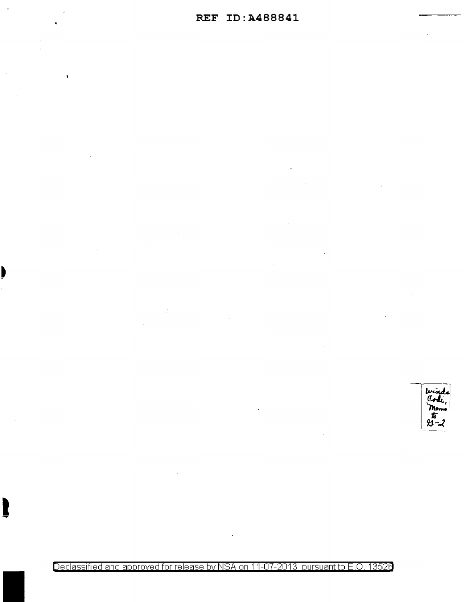Declassified and approved for release by NSA on 11-07-2013 pursuant to E.O. 13526

Code

 $m_{\text{cm}}$ <br> $\hbar$ <br> $x - \lambda$ 

I

 $\ddot{\phantom{1}}$ 

b

 $\ddot{\phantom{a}}$